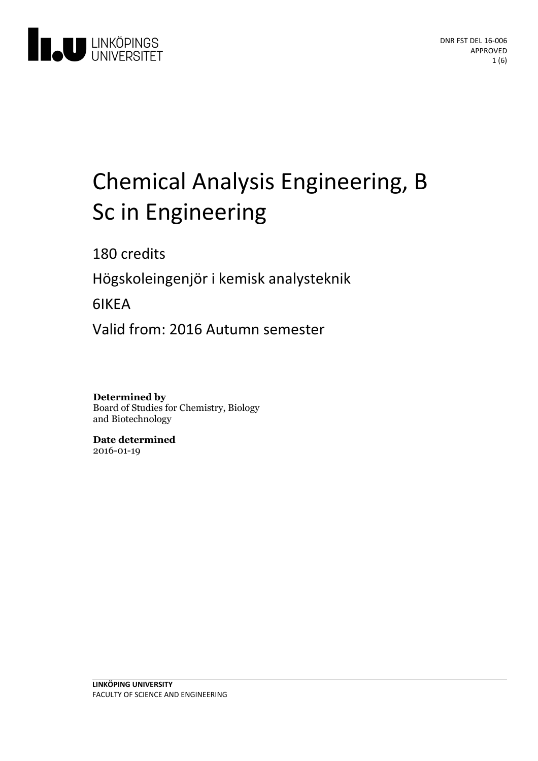

# Chemical Analysis Engineering, B Sc in Engineering

180 credits

Högskoleingenjör i kemiskanalysteknik

6IKEA

Valid from: 2016 Autumn semester

**Determined by** Board of Studies for Chemistry, Biology and Biotechnology

**Date determined** 2016-01-19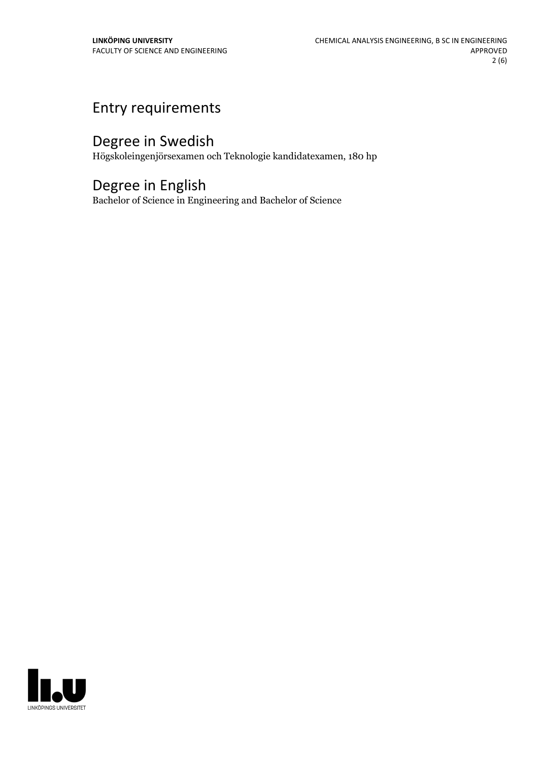## Entry requirements

# Degree in Swedish

Högskoleingenjörsexamen och Teknologie kandidatexamen, 180 hp

## Degree in English

Bachelor of Science in Engineering and Bachelor of Science

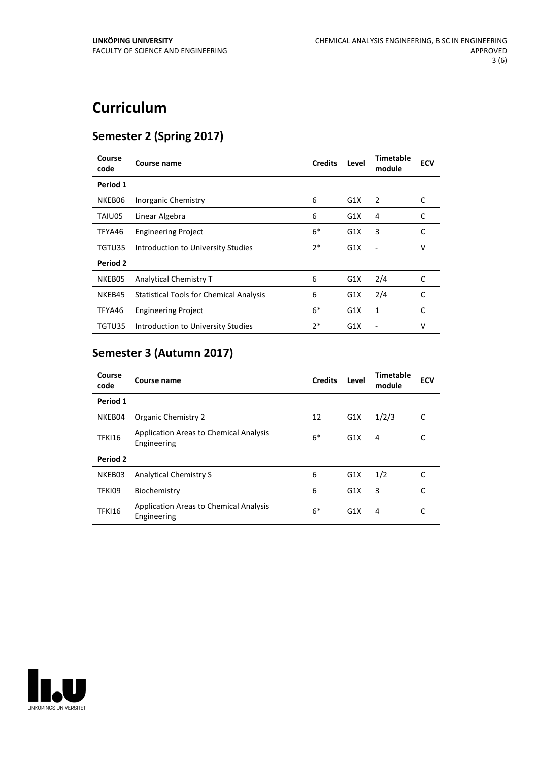# **Curriculum**

### **Semester 2 (Spring 2017)**

| Course<br>code | Course name                                    | <b>Credits</b> | Level | Timetable<br>module | <b>ECV</b> |
|----------------|------------------------------------------------|----------------|-------|---------------------|------------|
| Period 1       |                                                |                |       |                     |            |
| NKEB06         | Inorganic Chemistry                            | 6              | G1X   | 2                   | C          |
| TAIU05         | Linear Algebra                                 | 6              | G1X   | 4                   | C          |
| TFYA46         | <b>Engineering Project</b>                     | $6*$           | G1X   | 3                   | C          |
| TGTU35         | Introduction to University Studies             | $2*$           | G1X   |                     | v          |
| Period 2       |                                                |                |       |                     |            |
| NKEB05         | Analytical Chemistry T                         | 6              | G1X   | 2/4                 | C          |
| NKEB45         | <b>Statistical Tools for Chemical Analysis</b> | 6              | G1X   | 2/4                 | C          |
| TFYA46         | <b>Engineering Project</b>                     | $6*$           | G1X   | 1                   | C          |
| TGTU35         | Introduction to University Studies             | $2*$           | G1X   |                     | v          |

## **Semester 3 (Autumn 2017)**

| Course<br>code | Course name                                                  | <b>Credits</b> | Level | Timetable<br>module | <b>ECV</b> |
|----------------|--------------------------------------------------------------|----------------|-------|---------------------|------------|
| Period 1       |                                                              |                |       |                     |            |
| NKEB04         | Organic Chemistry 2                                          | 12             | G1X   | 1/2/3               | C          |
| <b>TFKI16</b>  | <b>Application Areas to Chemical Analysis</b><br>Engineering | $6*$           | G1X   | 4                   |            |
| Period 2       |                                                              |                |       |                     |            |
| NKEB03         | Analytical Chemistry S                                       | 6              | G1X   | 1/2                 | C          |
| TFKI09         | Biochemistry                                                 | 6              | G1X   | 3                   | C          |
| TFKI16         | <b>Application Areas to Chemical Analysis</b><br>Engineering | $6*$           | G1X   | 4                   | C          |

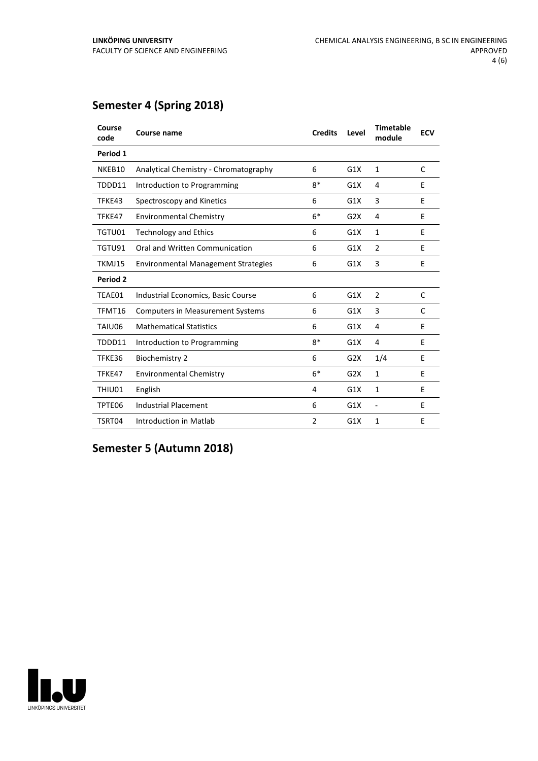### **Semester 4 (Spring 2018)**

| Course<br>code | Course name                                | <b>Credits</b> | Level | <b>Timetable</b><br>module   | <b>ECV</b> |
|----------------|--------------------------------------------|----------------|-------|------------------------------|------------|
| Period 1       |                                            |                |       |                              |            |
| NKEB10         | Analytical Chemistry - Chromatography      | 6              | G1X   | 1                            | C          |
| TDDD11         | Introduction to Programming                | $8*$           | G1X   | 4                            | E          |
| TFKE43         | Spectroscopy and Kinetics                  | 6              | G1X   | 3                            | F          |
| TFKE47         | <b>Environmental Chemistry</b>             | $6*$           | G2X   | 4                            | E          |
| TGTU01         | <b>Technology and Ethics</b>               | 6              | G1X   | $\mathbf{1}$                 | E          |
| TGTU91         | Oral and Written Communication             | 6              | G1X   | 2                            | E          |
| TKMJ15         | <b>Environmental Management Strategies</b> | 6              | G1X   | 3                            | E          |
| Period 2       |                                            |                |       |                              |            |
| TEAE01         | Industrial Economics, Basic Course         | 6              | G1X   | 2                            | C          |
| TFMT16         | <b>Computers in Measurement Systems</b>    | 6              | G1X   | 3                            | C          |
| TAIU06         | <b>Mathematical Statistics</b>             | 6              | G1X   | 4                            | E          |
| TDDD11         | Introduction to Programming                | $8*$           | G1X   | 4                            | E          |
| TFKE36         | <b>Biochemistry 2</b>                      | 6              | G2X   | 1/4                          | E          |
| TFKE47         | <b>Environmental Chemistry</b>             | $6*$           | G2X   | $\mathbf{1}$                 | E          |
| THIU01         | English                                    | 4              | G1X   | 1                            | E          |
| TPTE06         | <b>Industrial Placement</b>                | 6              | G1X   | $\qquad \qquad \blacksquare$ | E          |
| TSRT04         | Introduction in Matlab                     | $\overline{2}$ | G1X   | 1                            | F          |

**Semester 5 (Autumn 2018)**

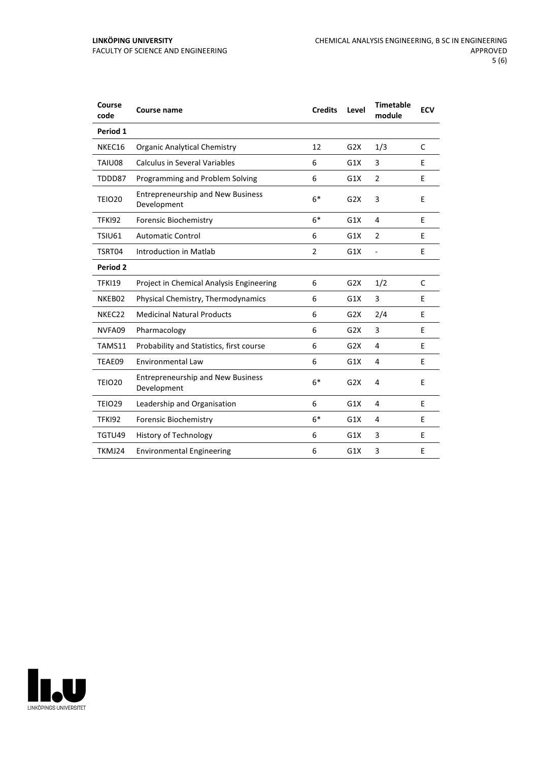| Course<br>code | Course name                                             | <b>Credits</b> | Level | <b>Timetable</b><br>module | <b>ECV</b> |
|----------------|---------------------------------------------------------|----------------|-------|----------------------------|------------|
| Period 1       |                                                         |                |       |                            |            |
| NKEC16         | Organic Analytical Chemistry                            | 12             | G2X   | 1/3                        | C          |
| TAIU08         | <b>Calculus in Several Variables</b>                    | 6              | G1X   | 3                          | F          |
| TDDD87         | Programming and Problem Solving                         | 6              | G1X   | $\overline{2}$             | Е          |
| <b>TEIO20</b>  | <b>Entrepreneurship and New Business</b><br>Development | $6*$           | G2X   | 3                          | E          |
| <b>TFKI92</b>  | <b>Forensic Biochemistry</b>                            | $6*$           | G1X   | 4                          | E          |
| <b>TSIU61</b>  | <b>Automatic Control</b>                                | 6              | G1X   | 2                          | E          |
| TSRT04         | Introduction in Matlab                                  | $\overline{2}$ | G1X   | $\overline{\phantom{a}}$   | E          |
| Period 2       |                                                         |                |       |                            |            |
| <b>TFKI19</b>  | Project in Chemical Analysis Engineering                | 6              | G2X   | 1/2                        | C          |
| NKEB02         | Physical Chemistry, Thermodynamics                      | 6              | G1X   | 3                          | E          |
| NKEC22         | <b>Medicinal Natural Products</b>                       | 6              | G2X   | 2/4                        | E          |
| NVFA09         | Pharmacology                                            | 6              | G2X   | 3                          | E          |
| TAMS11         | Probability and Statistics, first course                | 6              | G2X   | 4                          | E          |
| TEAE09         | <b>Environmental Law</b>                                | 6              | G1X   | 4                          | E          |
| <b>TEIO20</b>  | <b>Entrepreneurship and New Business</b><br>Development | $6*$           | G2X   | 4                          | E          |
| <b>TEIO29</b>  | Leadership and Organisation                             | 6              | G1X   | 4                          | E          |
| <b>TFKI92</b>  | <b>Forensic Biochemistry</b>                            | $6*$           | G1X   | 4                          | E          |
| TGTU49         | <b>History of Technology</b>                            | 6              | G1X   | 3                          | E          |
| TKMJ24         | <b>Environmental Engineering</b>                        | 6              | G1X   | 3                          | Е          |